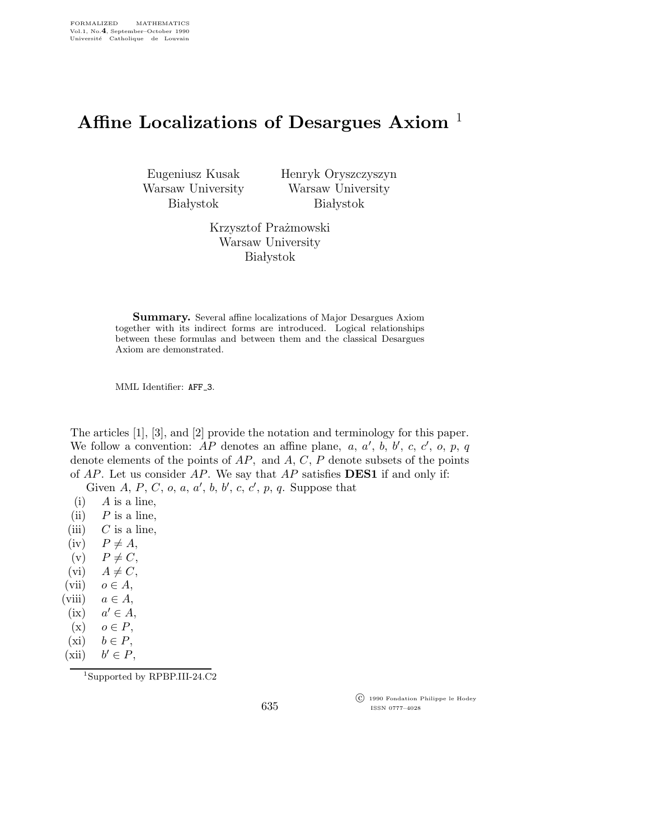## Affine Localizations of Desargues Axiom<sup>1</sup>

Eugeniusz Kusak Warsaw University **Białystok** 

Henryk Oryszczyszyn Warsaw University **Białystok** 

Krzysztof Prażmowski Warsaw University **Białystok** 

**Summary.** Several affine localizations of Major Desargues Axiom together with its indirect forms are introduced. Logical relationships between these formulas and between them and the classical Desargues Axiom are demonstrated.

MML Identifier: AFF<sub>-3</sub>.

The articles [1], [3], and [2] provide the notation and terminology for this paper. We follow a convention:  $AP$  denotes an affine plane, a, a', b, b', c, c', o, p, q denote elements of the points of  $AP$ , and  $A, C, P$  denote subsets of the points of  $AP$ . Let us consider  $AP$ . We say that  $AP$  satisfies **DES1** if and only if:

Given  $A, P, C, o, a, a', b, b', c, c', p, q$ . Suppose that

- $(i)$  A is a line,
- (ii)  $P$  is a line,
- (iii)  $C$  is a line,
- $(iv)$   $P \neq A$ ,
- (v)  $P \neq C$ ,
- (vi)  $A \neq C$ ,
- (vii)  $o \in A$ ,
- (viii)  $a \in A$ ,
- $(ix)$  $a' \in A$ ,
- $(x)$   $o \in P$ ,
- (xi)  $b \in P$ ,
- $(xii)$  $b' \in P$ ,

<sup>1</sup>Supported by RPBP.III-24.C2

 c 1990 Fondation Philippe le Hodey ISSN 0777–4028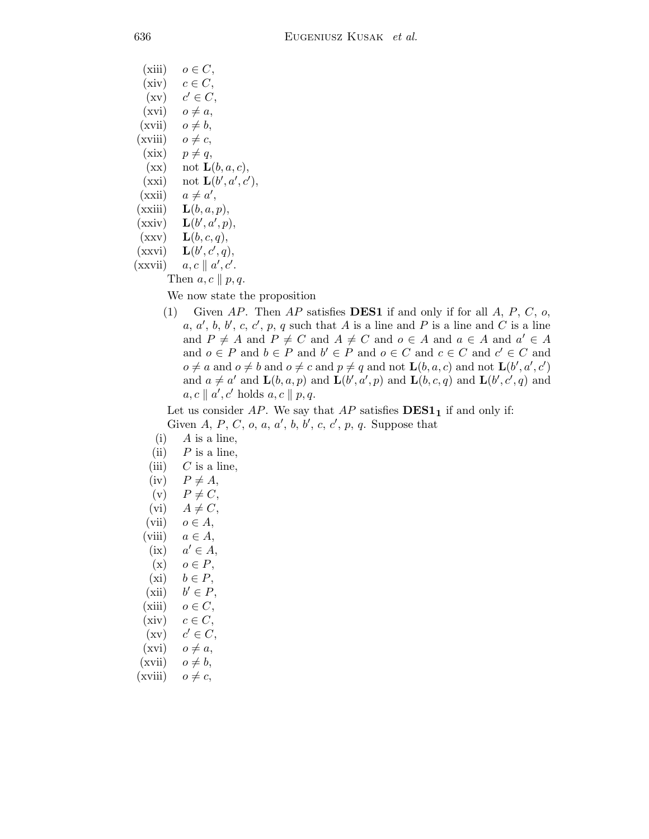(1) Given AP. Then AP satisfies **DES1** if and only if for all  $A$ ,  $P$ ,  $C$ ,  $o$ , a, a', b, b', c, c', p, q such that A is a line and P is a line and C is a line and  $P \neq A$  and  $P \neq C$  and  $A \neq C$  and  $o \in A$  and  $a \in A$  and  $a' \in A$ and  $o \in P$  and  $b \in P$  and  $b' \in P$  and  $o \in C$  and  $c \in C$  and  $c' \in C$  and  $o \neq a$  and  $o \neq b$  and  $o \neq c$  and  $p \neq q$  and not  $\mathbf{L}(b,a,c)$  and not  $\mathbf{L}(b',a',c')$ and  $a \neq a'$  and  $\mathbf{L}(b, a, p)$  and  $\mathbf{L}(b', a', p)$  and  $\mathbf{L}(b, c, q)$  and  $\mathbf{L}(b', c', q)$  and

Let us consider  $AP$ . We say that  $AP$  satisfies  $DES1<sub>1</sub>$  if and only if:

Given A, P, C, o, a, a', b, b', c, c', p, q. Suppose that

| (xiii)  | $o \in C$ ,                   |
|---------|-------------------------------|
| (xiv)   | $c \in C$ ,                   |
| (xv)    | $c' \in C$ ,                  |
| (xvi)   | $o \neq a$ ,                  |
| (xvii)  | $o \neq b$ ,                  |
| (xviii) | $o \neq c$                    |
| (xix)   | $p \neq q$ ,                  |
| (xx)    | not $\mathbf{L}(b, a, c)$ ,   |
| (xxi)   | not $\mathbf{L}(b', a', c'),$ |
| (xxi)   | $a \neq a',$                  |
| (xxiii) | $\mathbf{L}(b,a,p),$          |
| (xxiv)  | $\mathbf{L}(b', a', p),$      |
| (xxy)   | $\mathbf{L}(b,c,q),$          |
| (xxvi)  | $\mathbf{L}(b',c',q),$        |
| (xxvii) | $a, c \parallel a', c'.$      |

Then  $a, c \parallel p, q$ .

 $(i)$  A is a line, (ii)  $P$  is a line, (iii)  $C$  is a line,  $(iv)$   $P \neq A$ , (v)  $P \neq C$ , (vi)  $A \neq C$ , (vii)  $o \in A$ , (viii)  $a \in A$ ,

 $a' \in A$ ,

 $b' \in P$ ,

 $c' \in C$ ,

 $(x)$   $o \in P$ , (xi)  $b \in P$ ,

(xiii)  $o \in C$ ,  $(xiv)$   $c \in C$ ,

 $(xvi)$   $o \neq a$ ,  $(xvii)$   $o \neq b$ ,  $(xviii)$   $o \neq c$ ,

 $(ix)$ 

 $(xii)$ 

 $(xv)$ 

We now state the proposition

 $a, c \parallel a', c' \text{ holds } a, c \parallel p, q.$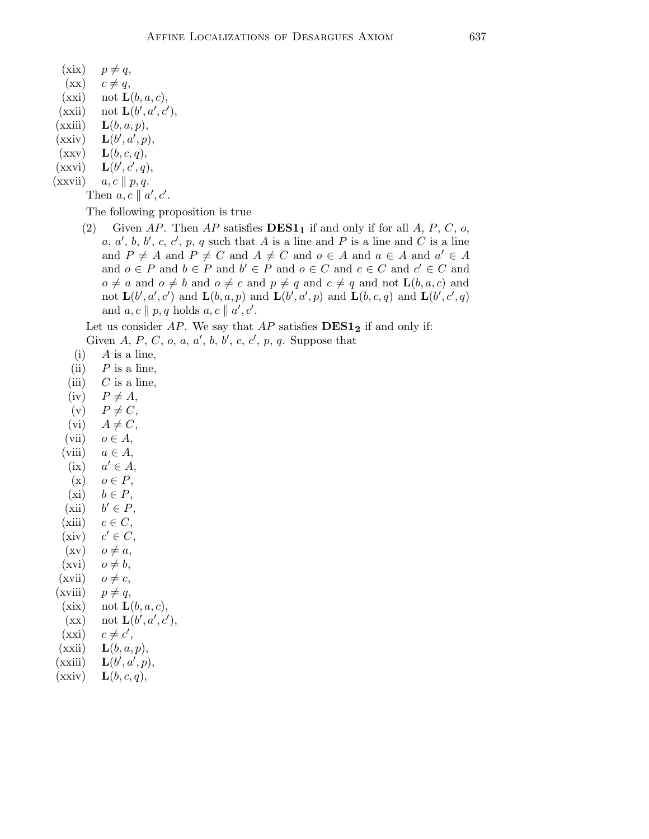- $(xix)$   $p \neq q$ ,
- $(xx)$   $c \neq q$ ,
- $(xxi)$  not  $\mathbf{L}(b,a,c)$ ,
- $(\overline{\text{xxii}})$  not  $\mathbf{L}(b', a', c'),$
- $(xxiii)$   $\mathbf{L}(b,a,p),$
- $(xxiv)$  $\langle a^{\prime}, p \rangle,$
- $(\text{xxv}) \quad \mathbf{L}(b,c,q),$
- $(xxvi)$  $\epsilon', \epsilon', q),$
- $(xxyii)$   $a, c \parallel p, q.$

Then  $a, c \parallel a', c'$ .

The following proposition is true

(2) Given AP. Then AP satisfies  $\mathbf{DES1}_1$  if and only if for all A, P, C, o, a, a', b, b', c, c', p, q such that A is a line and P is a line and C is a line and  $P \neq A$  and  $P \neq C$  and  $A \neq C$  and  $o \in A$  and  $a \in A$  and  $a' \in A$ and  $o \in P$  and  $b \in P$  and  $b' \in P$  and  $o \in C$  and  $c \in C$  and  $c' \in C$  and  $o \neq a$  and  $o \neq b$  and  $o \neq c$  and  $p \neq q$  and  $c \neq q$  and not  $\mathbf{L}(b,a,c)$  and not  $\mathbf{L}(b', a', c')$  and  $\mathbf{L}(b, a, p)$  and  $\mathbf{L}(b', a', p)$  and  $\mathbf{L}(b, c, q)$  and  $\mathbf{L}(b', c', q)$ and  $a, c \parallel p, q$  holds  $a, c \parallel a', c'$ .

Let us consider AP. We say that AP satisfies  $\bf{DES1}_2$  if and only if:

Given  $A, P, C, o, a, a', b, b', c, c', p, q$ . Suppose that

- $(i)$  A is a line,
- (ii)  $P$  is a line,
- (iii)  $C$  is a line,
- $(iv)$   $P \neq A$ ,
- $(v)$   $P \neq C$ ,
- (vi)  $A \neq C$ ,
- (vii)  $o \in A$ ,
- (viii)  $a \in A$ ,
- $(ix)$  $a' \in A$ ,
- $(x)$   $o \in P$ ,
- (xi)  $b \in P$ ,
- $(xii)$  $b' \in P$ ,
- (xiii)  $c \in C$ ,
- $(xiv)$  $c' \in C$ ,
- $(xv)$   $o \neq a$ ,
- $(xvi)$   $o \neq b$ ,
- $(xvii)$   $o \neq c$ ,
- $(xviii)$   $p \neq q$ ,
- (xix) not  $\mathbf{L}(b,a,c)$ ,
- $(\text{xx}) \quad \text{not } \mathbf{L}(b', a', c'),$
- $\overrightarrow{(xxi)}$   $c \neq c'$ ,
- $(xxii)$   $\mathbf{L}(b,a,p),$
- $(xxiii)$  $\langle a^{\prime}, p \rangle,$
- $(xxiv)$   $\mathbf{L}(b,c,q),$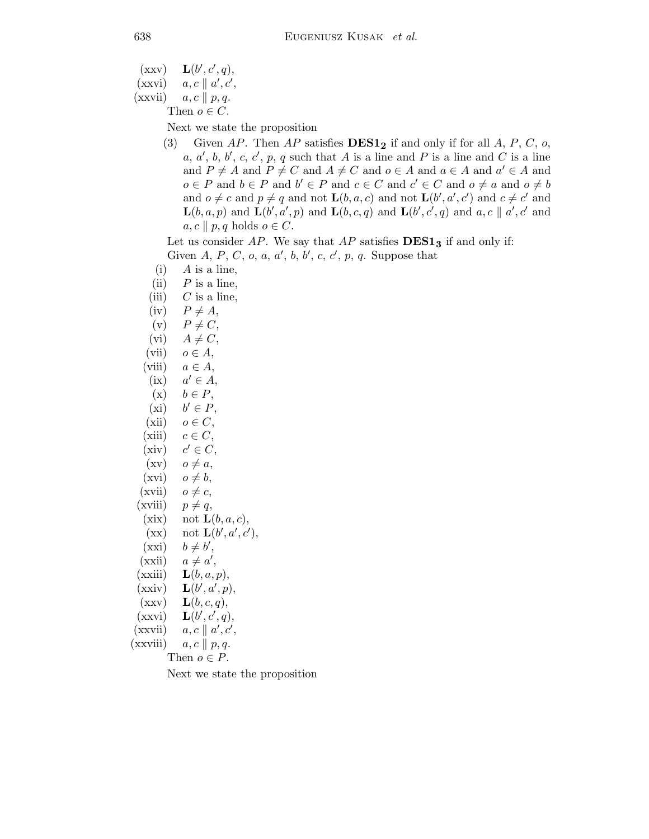$(xxy)$  $', c', q),$ 

- $(x x v i)$   $a, c \parallel a', c',$
- $(xxvii)$   $a, c \parallel p, q.$

Then  $o \in C$ .

Next we state the proposition

(3) Given AP. Then AP satisfies  **if and only if for all A, P, C, o,** a, a', b, b', c, c', p, q such that A is a line and P is a line and C is a line and  $P \neq A$  and  $P \neq C$  and  $A \neq C$  and  $o \in A$  and  $a \in A$  and  $a' \in A$  and  $o \in P$  and  $b \in P$  and  $b' \in P$  and  $c \in C$  and  $c' \in C$  and  $o \neq a$  and  $o \neq b$ and  $o \neq c$  and  $p \neq q$  and not  $\mathbf{L}(b, a, c)$  and not  $\mathbf{L}(b', a', c')$  and  $c \neq c'$  and  $\mathbf{L}(b,a,p)$  and  $\mathbf{L}(b',a',p)$  and  $\mathbf{L}(b,c,q)$  and  $\mathbf{L}(b',c',q)$  and  $a,c \parallel a',c'$  and  $a, c \parallel p, q$  holds  $o \in C$ .

Let us consider  $AP$ . We say that  $AP$  satisfies  $DES1<sub>3</sub>$  if and only if: Given A, P, C, o, a, a', b, b', c, c', p, q. Suppose that

- $(i)$  A is a line,
- (ii)  $P$  is a line,
- (iii)  $C$  is a line,
- $(iv)$   $P \neq A$ ,
- (v)  $P \neq C$ ,
- (vi)  $A \neq C$ ,
- (vii)  $o \in A$ ,
- (viii)  $a \in A$ ,
- $(ix)$  $a' \in A$ ,
- $(x)$   $b \in P$ ,
- $(xi)$  $b' \in P$ ,
- $(xii)$   $o \in C$ ,
- (xiii)  $c \in C$ ,
- $(xiv)$  $c' \in C$ ,
- $(xv)$   $o \neq a$ ,
- $(xvi)$   $o \neq b$ ,
- $(xvii)$   $o \neq c$ ,
- $(xviii)$   $p \neq q$ ,
- (xix) not  $\mathbf{L}(b,a,c)$ ,
- $\mathbf{L}(b', a', c'),$
- $\overrightarrow{(xxi)}$   $b \neq b'$ ,
- $\overrightarrow{(xxii)} \quad a \neq a',$
- $(xxiii)$   $\mathbf{L}(b,a,p),$
- $(xxiv)$  $\langle a', p \rangle,$
- $(\text{xxv}) \quad \mathbf{L}(b,c,q),$
- $(xxvi)$  $\epsilon', \epsilon', q),$
- $(\overrightarrow{\text{xxviii}})$   $a, c \parallel a', c',$
- (xxviii)  $a, c \parallel p, q.$ 
	- Then  $o \in P$ .

Next we state the proposition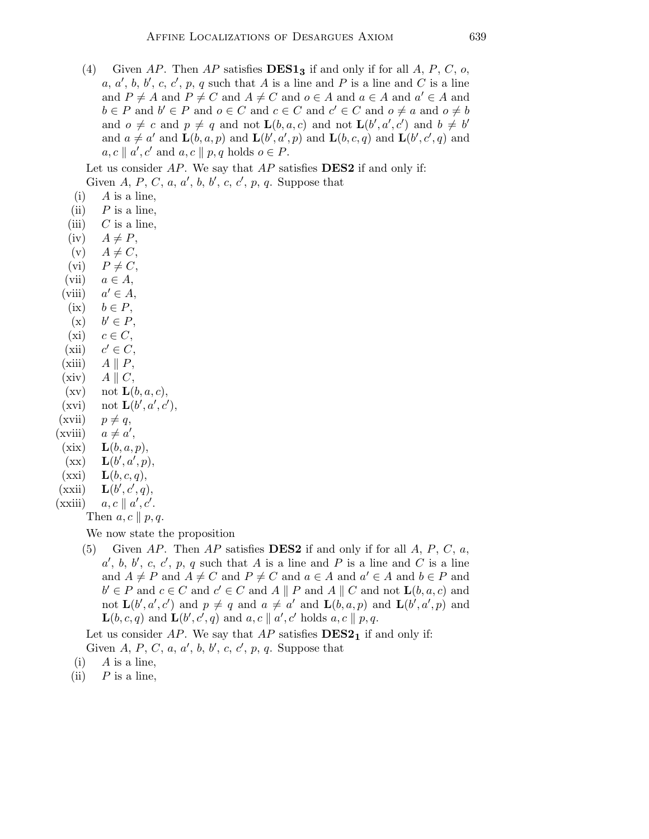(4) Given AP. Then AP satisfies  $\mathbf{DES1}_3$  if and only if for all A, P, C, o, a, a', b, b', c, c', p, q such that A is a line and P is a line and C is a line and  $P \neq A$  and  $P \neq C$  and  $A \neq C$  and  $o \in A$  and  $a \in A$  and  $a' \in A$  and  $b \in P$  and  $b' \in P$  and  $o \in C$  and  $c \in C$  and  $c' \in C$  and  $o \neq a$  and  $o \neq b$ and  $o \neq c$  and  $p \neq q$  and not  $\mathbf{L}(b,a,c)$  and not  $\mathbf{L}(b',a',c')$  and  $b \neq b'$ and  $a \neq a'$  and  $\mathbf{L}(b, a, p)$  and  $\mathbf{L}(b', a', p)$  and  $\mathbf{L}(b, c, q)$  and  $\mathbf{L}(b', c', q)$  and  $a, c \parallel a', c'$  and  $a, c \parallel p, q$  holds  $o \in P$ .

Let us consider  $AP$ . We say that  $AP$  satisfies **DES2** if and only if: Given A, P, C, a, a', b, b', c, c', p, q. Suppose that

- $(i)$  A is a line,
- (ii)  $P$  is a line,
- (iii)  $C$  is a line,
- $(iv)$   $A \neq P$ ,
- (v)  $A \neq C$ ,
- (vi)  $P \neq C$ ,
- (vii)  $a \in A$ ,
- $(viii)$  $a' \in A$ ,
- (ix)  $b \in P$ ,
- $(x)$  $b' \in P$ , (xi)  $c \in C$ ,
- $(xii)$  $c' \in C$ ,
- $(xiii)$   $A \parallel P$ ,
- $(xiv)$   $A \parallel C$ ,
- $(xv)$  not  $\mathbf{L}(b,a,c)$ ,
- $(xvi)$  not  $\mathbf{L}(b', a', c'),$

′ ,

- $(xvii)$   $p \neq q$ ,
- $(xviii)$
- $(xix)$   $\mathbf{L}(b,a,p),$
- $(xx)$  $\langle a^{\prime}, p \rangle,$
- $(xxi)$   $\mathbf{L}(b, c, q),$
- $(xxii)$  $\epsilon', \epsilon', q),$
- $(\overrightarrow{\text{xxiii}})$   $a, c \parallel a', c'.$

Then  $a, c \parallel p, q$ .

We now state the proposition

(5) Given AP. Then AP satisfies **DES2** if and only if for all A, P, C, a, a', b, b', c, c', p, q such that A is a line and P is a line and C is a line and  $A \neq P$  and  $A \neq C$  and  $P \neq C$  and  $a \in A$  and  $a' \in A$  and  $b \in P$  and  $b' \in P$  and  $c \in C$  and  $c' \in C$  and  $A \parallel P$  and  $A \parallel C$  and not  $\mathbf{L}(b, a, c)$  and not  $\mathbf{L}(b', a', c')$  and  $p \neq q$  and  $a \neq a'$  and  $\mathbf{L}(b, a, p)$  and  $\mathbf{L}(b', a', p)$  and  $\mathbf{L}(b,c,q)$  and  $\mathbf{L}(b',c',q)$  and  $a,c \parallel a',c'$  holds  $a,c \parallel p,q$ .

Let us consider  $AP$ . We say that  $AP$  satisfies  $DES2<sub>1</sub>$  if and only if: Given A, P, C, a, a', b, b', c, c', p, q. Suppose that

- $(i)$  A is a line,
- (ii)  $P$  is a line,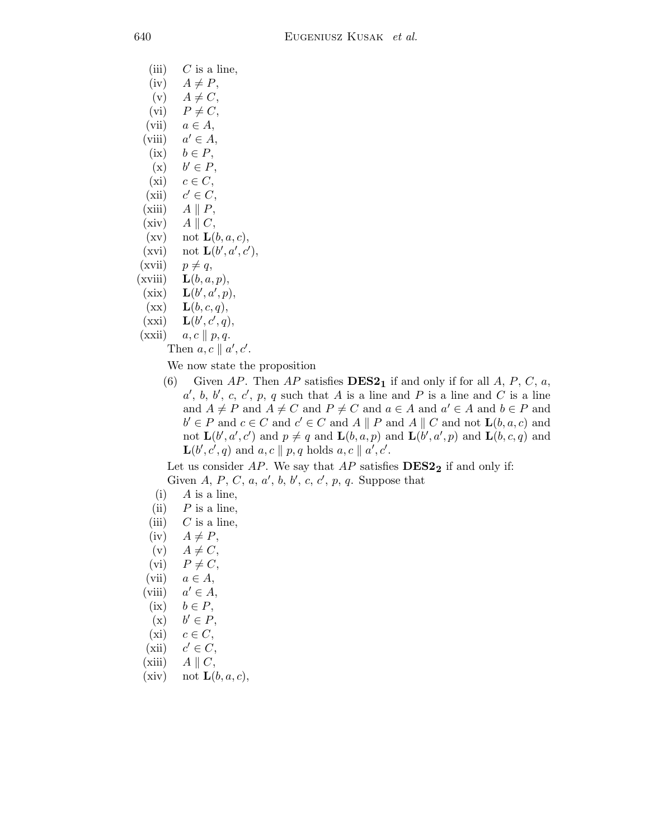- (iii)  $C$  is a line,
- $(iv)$   $A \neq P$ ,
- $(v)$   $A \neq C$ ,
- (vi)  $P \neq C$ ,
- (vii)  $a \in A$ ,
- $(viii)$  $a' \in A$ ,
- (ix)  $b \in P$ ,
- $(x)$  $b' \in P$ ,
- (xi)  $c \in C$ ,
- $(xii)$  $c' \in C$ ,
- (xiii)  $A \parallel P$ ,
- (xiv)  $A \parallel C$ ,
- $(xv)$  not  $\mathbf{L}(b,a,c)$ ,
- $(xvi)$  not  $\mathbf{L}(b', a', c'),$
- $(xvii)$   $p \neq q$ ,
- $(xviii)$   $\mathbf{L}(b,a,p),$
- $(xix)$  $\langle a', p), \rangle$
- $(\mathbf{xx}) \quad \mathbf{L}(b,c,q),$
- $(xxi)$  $\epsilon', \epsilon', q),$

 $(xxii)$   $a, c \parallel p, q.$ 

Then  $a, c \parallel a', c'$ .

We now state the proposition

(6) Given AP. Then AP satisfies  **if and only if for all A, P, C, a,** a', b, b', c, c', p, q such that A is a line and P is a line and C is a line and  $A \neq P$  and  $A \neq C$  and  $P \neq C$  and  $a \in A$  and  $a' \in A$  and  $b \in P$  and  $b' \in P$  and  $c \in C$  and  $c' \in C$  and  $A \parallel P$  and  $A \parallel C$  and not  $\mathbf{L}(b, a, c)$  and not  $\mathbf{L}(b', a', c')$  and  $p \neq q$  and  $\mathbf{L}(b, a, p)$  and  $\mathbf{L}(b', a', p)$  and  $\mathbf{L}(b, c, q)$  and  $\mathbf{L}(b', c', q)$  and  $a, c \parallel p, q$  holds  $a, c \parallel a', c'$ .

Let us consider  $AP$ . We say that  $AP$  satisfies  $DES2<sub>2</sub>$  if and only if: Given A, P, C, a, a', b, b', c, c', p, q. Suppose that

- $(i)$  A is a line,
- (ii)  $P$  is a line,
- (iii)  $C$  is a line,
- $(iv)$   $A \neq P$ ,
- $(v)$   $A \neq C$ ,
- (vi)  $P \neq C$ ,
- (vii)  $a \in A$ ,
- $(viii)$  $a' \in A$ ,
- (ix)  $b \in P$ ,
- $(x)$  $b' \in P$ ,
- (xi)  $c \in C$ ,
- $(xii)$  $c' \in C$ ,
- (xiii)  $A \parallel C$ ,
- (xiv) not  $\mathbf{L}(b,a,c)$ ,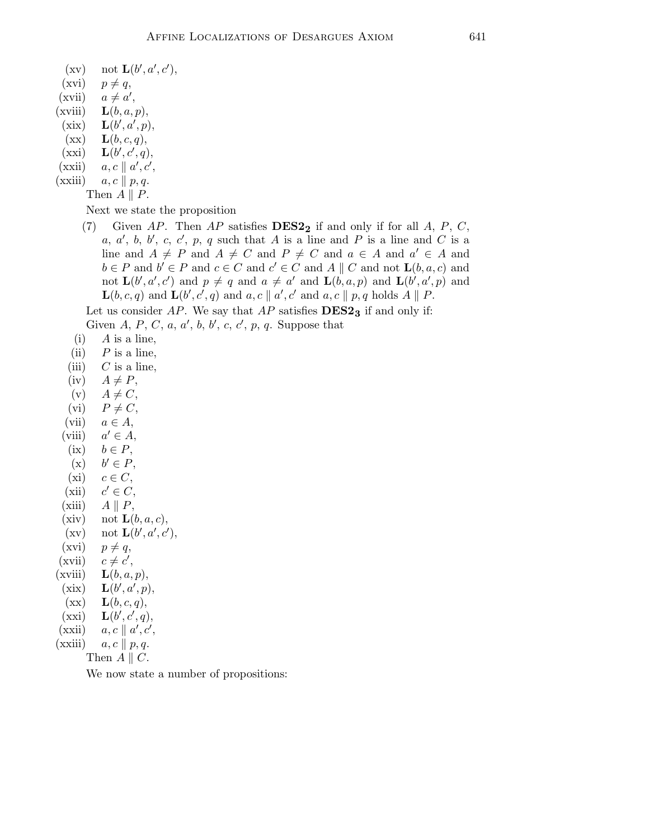- $(xvi)$   $p \neq q$ ,
- $(xvii)$   $a \neq a',$
- (xviii)  $\mathbf{L}(b, a, p)$ ,
- $(xix)$  $\langle a^{\prime}, p \rangle,$
- $(\mathbf{xx}) \quad \mathbf{L}(b,c,q),$
- $(xxi)$  $\epsilon', \epsilon', q),$
- $(\overrightarrow{\text{xxii}})$   $a, c \parallel a', c',$
- $(xxiii)$   $a, c \parallel p, q.$ 
	- Then  $A \parallel P$ .

Next we state the proposition

(7) Given AP. Then AP satisfies  **if and only if for all A, P, C,** a, a', b, b', c, c', p, q such that A is a line and P is a line and C is a line and  $A \neq P$  and  $A \neq C$  and  $P \neq C$  and  $a \in A$  and  $a' \in A$  and  $b \in P$  and  $b' \in P$  and  $c \in C$  and  $c' \in C$  and  $A \parallel C$  and not  $\mathbf{L}(b, a, c)$  and not  $\mathbf{L}(b', a', c')$  and  $p \neq q$  and  $a \neq a'$  and  $\mathbf{L}(b, a, p)$  and  $\mathbf{L}(b', a', p)$  and  $\mathbf{L}(b,c,q)$  and  $\mathbf{L}(b',c',q)$  and  $a,c \parallel a',c'$  and  $a,c \parallel p,q$  holds  $A \parallel P$ .

Let us consider  $AP$ . We say that  $AP$  satisfies  $DES2<sub>3</sub>$  if and only if:

Given A, P, C, a, a', b, b', c, c', p, q. Suppose that

- $(i)$  A is a line,
- (ii)  $P$  is a line,
- (iii)  $C$  is a line,
- $(iv)$   $A \neq P$ ,
- $(v)$   $A \neq C$ ,
- (vi)  $P \neq C$ ,
- (vii)  $a \in A$ ,
- $(viii)$  $a' \in A$ ,
- (ix)  $b \in P$ ,
- $(x)$  $b' \in P$ ,
- (xi)  $c \in C$ ,
- $(xii)$  $c' \in C$ ,
- (xiii)  $A \parallel P$ ,
- (xiv) not  $\mathbf{L}(b,a,c)$ ,
- $\mathbf{L}(b', a', c'),$
- $(xvi)$   $p \neq q$ ,
- $(xvii)$ ′ ,
- $(xviii)$   $\mathbf{L}(b,a,p),$
- $(xix)$  $\langle a', p \rangle,$
- $(\mathbf{xx}) \quad \mathbf{L}(b,c,q),$
- $(xxi)$  $\epsilon', \epsilon', q),$
- $(\overrightarrow{\text{xxiii}})$   $a, c \parallel a', c',$
- $(xxiii)$   $a, c \parallel p, q.$

Then  $A \parallel C$ .

We now state a number of propositions: